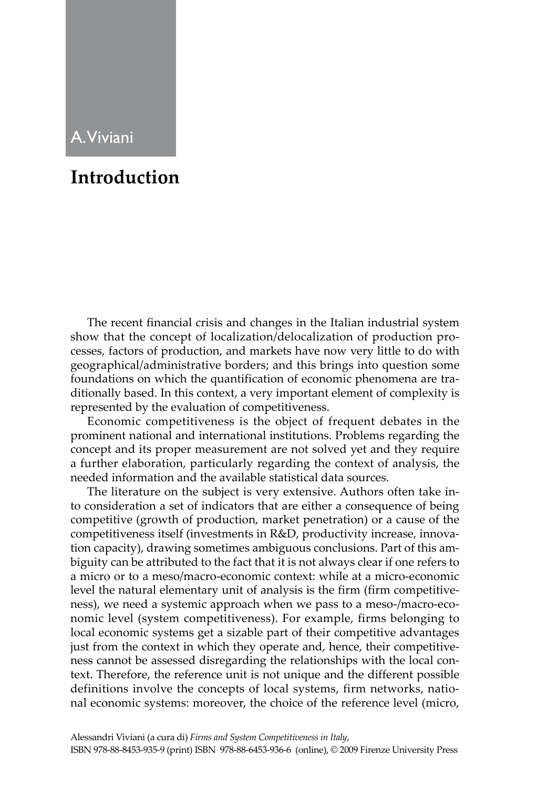## A. Viviani

## **Introduction**

The recent financial crisis and changes in the Italian industrial system show that the concept of localization/delocalization of production processes, factors of production, and markets have now very little to do with geographical/administrative borders; and this brings into question some foundations on which the quantification of economic phenomena are traditionally based. In this context, a very important element of complexity is represented by the evaluation of competitiveness.

Economic competitiveness is the object of frequent debates in the prominent national and international institutions. Problems regarding the concept and its proper measurement are not solved yet and they require a further elaboration, particularly regarding the context of analysis, the needed information and the available statistical data sources.

The literature on the subject is very extensive. Authors often take into consideration a set of indicators that are either a consequence of being competitive (growth of production, market penetration) or a cause of the competitiveness itself (investments in R&D, productivity increase, innovation capacity), drawing sometimes ambiguous conclusions. Part of this ambiguity can be attributed to the fact that it is not always clear if one refers to a micro or to a meso/macro-economic context: while at a micro-economic level the natural elementary unit of analysis is the firm (firm competitiveness), we need a systemic approach when we pass to a meso-/macro-economic level (system competitiveness). For example, firms belonging to local economic systems get a sizable part of their competitive advantages just from the context in which they operate and, hence, their competitiveness cannot be assessed disregarding the relationships with the local context. Therefore, the reference unit is not unique and the different possible definitions involve the concepts of local systems, firm networks, national economic systems: moreover, the choice of the reference level (micro,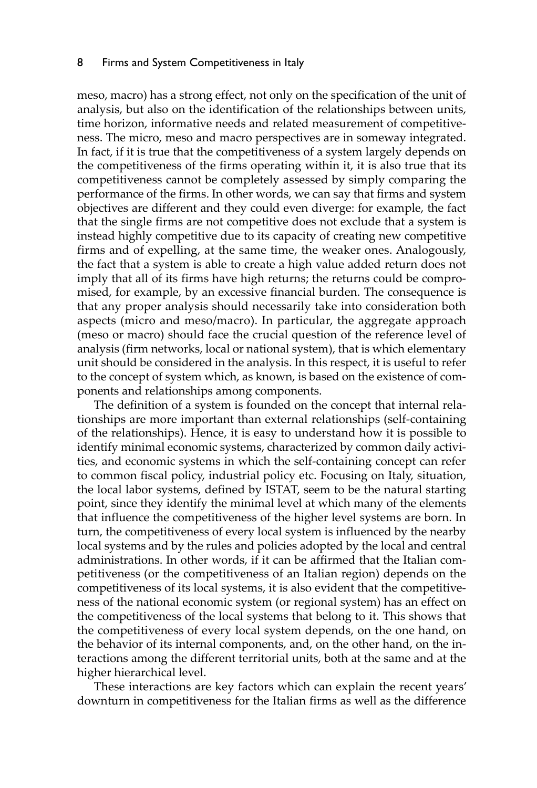## 8 Firms and System Competitiveness in Italy

meso, macro) has a strong effect, not only on the specification of the unit of analysis, but also on the identification of the relationships between units, time horizon, informative needs and related measurement of competitiveness. The micro, meso and macro perspectives are in someway integrated. In fact, if it is true that the competitiveness of a system largely depends on the competitiveness of the firms operating within it, it is also true that its competitiveness cannot be completely assessed by simply comparing the performance of the firms. In other words, we can say that firms and system objectives are different and they could even diverge: for example, the fact that the single firms are not competitive does not exclude that a system is instead highly competitive due to its capacity of creating new competitive firms and of expelling, at the same time, the weaker ones. Analogously, the fact that a system is able to create a high value added return does not imply that all of its firms have high returns; the returns could be compromised, for example, by an excessive financial burden. The consequence is that any proper analysis should necessarily take into consideration both aspects (micro and meso/macro). In particular, the aggregate approach (meso or macro) should face the crucial question of the reference level of analysis (firm networks, local or national system), that is which elementary unit should be considered in the analysis. In this respect, it is useful to refer to the concept of system which, as known, is based on the existence of components and relationships among components.

The definition of a system is founded on the concept that internal relationships are more important than external relationships (self-containing of the relationships). Hence, it is easy to understand how it is possible to identify minimal economic systems, characterized by common daily activities, and economic systems in which the self-containing concept can refer to common fiscal policy, industrial policy etc. Focusing on Italy, situation, the local labor systems, defined by ISTAT, seem to be the natural starting point, since they identify the minimal level at which many of the elements that influence the competitiveness of the higher level systems are born. In turn, the competitiveness of every local system is influenced by the nearby local systems and by the rules and policies adopted by the local and central administrations. In other words, if it can be affirmed that the Italian competitiveness (or the competitiveness of an Italian region) depends on the competitiveness of its local systems, it is also evident that the competitiveness of the national economic system (or regional system) has an effect on the competitiveness of the local systems that belong to it. This shows that the competitiveness of every local system depends, on the one hand, on the behavior of its internal components, and, on the other hand, on the interactions among the different territorial units, both at the same and at the higher hierarchical level.

These interactions are key factors which can explain the recent years' downturn in competitiveness for the Italian firms as well as the difference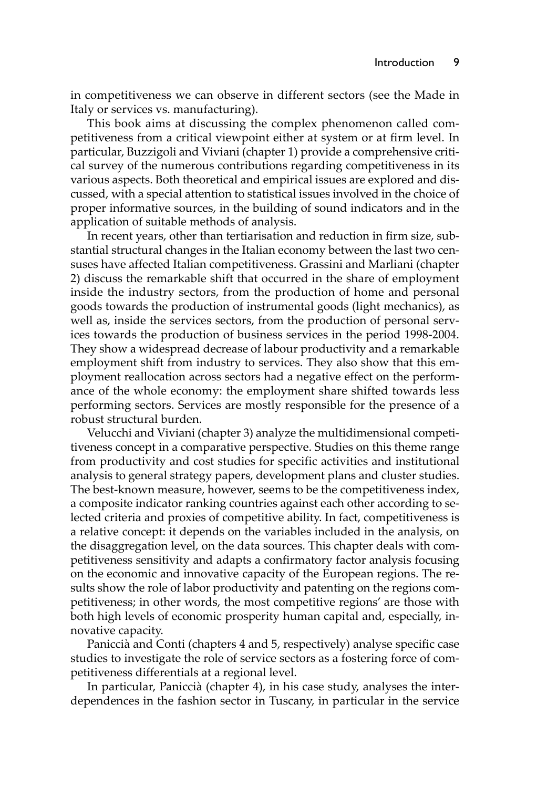in competitiveness we can observe in different sectors (see the Made in Italy or services vs. manufacturing).

This book aims at discussing the complex phenomenon called competitiveness from a critical viewpoint either at system or at firm level. In particular, Buzzigoli and Viviani (chapter 1) provide a comprehensive critical survey of the numerous contributions regarding competitiveness in its various aspects. Both theoretical and empirical issues are explored and discussed, with a special attention to statistical issues involved in the choice of proper informative sources, in the building of sound indicators and in the application of suitable methods of analysis.

In recent years, other than tertiarisation and reduction in firm size, substantial structural changes in the Italian economy between the last two censuses have affected Italian competitiveness. Grassini and Marliani (chapter 2) discuss the remarkable shift that occurred in the share of employment inside the industry sectors, from the production of home and personal goods towards the production of instrumental goods (light mechanics), as well as, inside the services sectors, from the production of personal services towards the production of business services in the period 1998-2004. They show a widespread decrease of labour productivity and a remarkable employment shift from industry to services. They also show that this employment reallocation across sectors had a negative effect on the performance of the whole economy: the employment share shifted towards less performing sectors. Services are mostly responsible for the presence of a robust structural burden.

Velucchi and Viviani (chapter 3) analyze the multidimensional competitiveness concept in a comparative perspective. Studies on this theme range from productivity and cost studies for specific activities and institutional analysis to general strategy papers, development plans and cluster studies. The best-known measure, however, seems to be the competitiveness index, a composite indicator ranking countries against each other according to selected criteria and proxies of competitive ability. In fact, competitiveness is a relative concept: it depends on the variables included in the analysis, on the disaggregation level, on the data sources. This chapter deals with competitiveness sensitivity and adapts a confirmatory factor analysis focusing on the economic and innovative capacity of the European regions. The results show the role of labor productivity and patenting on the regions competitiveness; in other words, the most competitive regions' are those with both high levels of economic prosperity human capital and, especially, innovative capacity.

Paniccià and Conti (chapters 4 and 5, respectively) analyse specific case studies to investigate the role of service sectors as a fostering force of competitiveness differentials at a regional level.

In particular, Paniccià (chapter 4), in his case study, analyses the interdependences in the fashion sector in Tuscany, in particular in the service